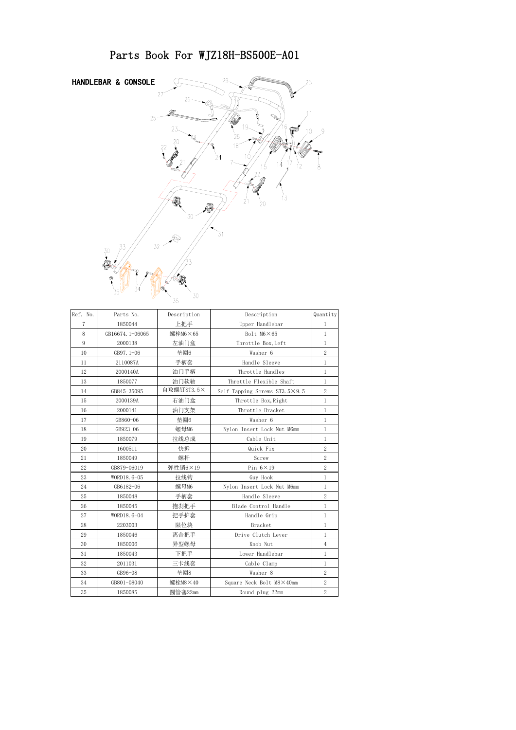

| Ref. No. | Parts No.       | Description     | Description                   | Quantity       |
|----------|-----------------|-----------------|-------------------------------|----------------|
| 7        | 1850044         | 上把手             | Upper Handlebar               | 1              |
| 8        | GB16674.1-06065 | 螺栓M6×65         | Bolt M6×65                    | $\mathbf{1}$   |
| 9        | 2000138         | 左油门盒            | Throttle Box, Left            | $\mathbf{1}$   |
| 10       | GB97.1-06       | 垫圈6             | Washer 6                      | $\overline{2}$ |
| 11       | 2110087A        | 手柄套             | Handle Sleeve                 | $\mathbf{1}$   |
| 12       | 2000140A        | 油门手柄            | Throttle Handles              | $\mathbf{1}$   |
| 13       | 1850077         | 油门软轴            | Throttle Flexible Shaft       | $\mathbf{1}$   |
| 14       | GB845-35095     | 自攻螺钉ST3.5×      | Self Tapping Screws ST3.5×9.5 | $\overline{2}$ |
| 15       | 2000139A        | 右油门盒            | Throttle Box, Right           | $\mathbf{1}$   |
| 16       | 2000141         | 油门支架            | Throttle Bracket              | $\mathbf{1}$   |
| 17       | GB860-06        | 垫圈6             | Washer 6                      | $\mathbf{1}$   |
| 18       | GB923-06        | 螺母M6            | Nylon Insert Lock Nut M6mm    | $\mathbf{1}$   |
| 19       | 1850079         | 拉线总成            | Cable Unit                    | $\mathbf{1}$   |
| 20       | 1600511         | 快拆              | Quick Fix                     | $\overline{2}$ |
| 21       | 1850049         | 螺杆              | Screw                         | $\overline{2}$ |
| 22       | GB879-06019     | 弹性销6×19         | Pin $6 \times 19$             | $\overline{2}$ |
| 23       | WORD18.6-05     | 拉线钩             | Guy Hook                      | $\mathbf{1}$   |
| 24       | GB6182-06       | 螺母M6            | Nylon Insert Lock Nut M6mm    | $\mathbf{1}$   |
| 25       | 1850048         | 手柄套             | Handle Sleeve                 | $\overline{2}$ |
| 26       | 1850045         | 抱刹把手            | Blade Control Handle          | $\mathbf{1}$   |
| 27       | WORD18.6-04     | 把手护套            | Handle Grip                   | $\mathbf{1}$   |
| 28       | 2203003         | 限位块             | Bracket                       | $\mathbf{1}$   |
| 29       | 1850046         | 离合把手            | Drive Clutch Lever            | $\mathbf{1}$   |
| 30       | 1850006         | 异型螺母            | Knob Nut                      | $\overline{4}$ |
| 31       | 1850043         | 下把手             | Lower Handlebar               | $\mathbf{1}$   |
| 32       | 2011031         | 三卡线套            | Cable Clamp                   | $\mathbf{1}$   |
| 33       | GB96-08         | 垫圈8             | Washer 8                      | $\overline{2}$ |
| 34       | GB801-08040     | 螺栓 $M8\times40$ | Square Neck Bolt M8×40mm      | $\overline{2}$ |
| 35       | 1850085         | 圆管塞22mm         | Round plug 22mm               | $\overline{2}$ |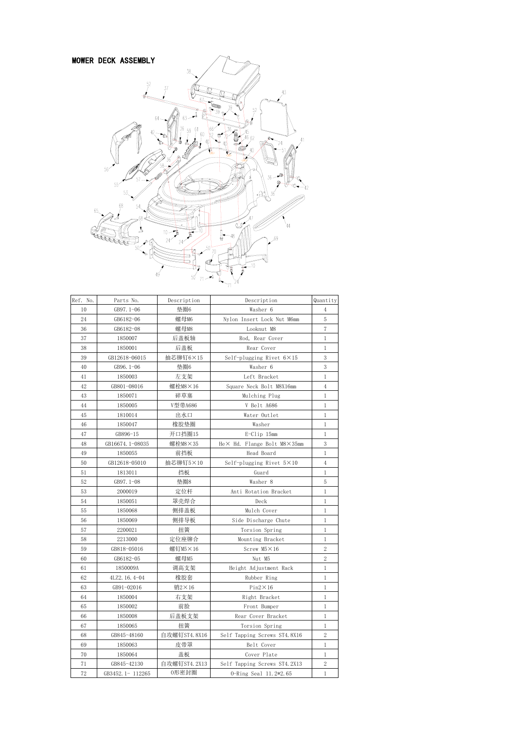

| Ref. No. | Parts No.       | Description  | Description                       | Quantity       |
|----------|-----------------|--------------|-----------------------------------|----------------|
| 10       | GB97.1-06       | 垫圈6          | Washer 6                          | $\overline{4}$ |
| 24       | GB6182-06       | 螺母M6         | Nylon Insert Lock Nut M6mm        | 5              |
| 36       | GB6182-08       | 螺母M8         | Looknut M8                        | $\overline{7}$ |
| 37       | 1850007         | 后盖板轴         | Rod, Rear Cover                   | $\mathbf{1}$   |
| 38       | 1850001         | 后盖板          | Rear Cover                        | $\mathbf{1}$   |
| 39       | GB12618-06015   | 抽芯铆钉6×15     | Self-plugging Rivet $6 \times 15$ | 3              |
| 40       | GB96.1-06       | 垫圈6          | Washer 6                          | 3              |
| 41       | 1850003         | 左支架          | Left Bracket                      | $\mathbf{1}$   |
| 42       | GB801-08016     | 螺栓M8×16      | Square Neck Bolt M8X16mm          | $\overline{4}$ |
| 43       | 1850071         | 碎草塞          | Mulching Plug                     | $\mathbf{1}$   |
| 44       | 1850005         | V型带A686      | V Belt A686                       | $\mathbf{1}$   |
| 45       | 1810014         | 出水口          | Water Outlet                      | $\mathbf{1}$   |
| 46       | 1850047         | 橡胶垫圈         | Washer                            | 1              |
| 47       | GB896-15        | 开口挡圈15       | E-Clip 15mm                       | $\mathbf{1}$   |
| 48       | GB16674.1-08035 | 螺栓M8×35      | He× Hd. Flange Bolt M8×35mm       | 3              |
| 49       | 1850055         | 前挡板          | Head Board                        | 1              |
| 50       | GB12618-05010   | 抽芯铆钉5×10     | Self-plugging Rivet $5 \times 10$ | $\overline{4}$ |
| 51       | 1813011         | 挡板           | Guard                             | $\mathbf{1}$   |
| 52       | GB97.1-08       | 垫圈8          | Washer 8                          | 5              |
| 53       | 2000019         | 定位杆          | Anti Rotation Bracket             | $\mathbf{1}$   |
| 54       | 1850051         | 罩壳焊合         | Deck                              | $\mathbf{1}$   |
| 55       | 1850068         | 侧排盖板         | Mulch Cover                       | $\mathbf{1}$   |
| 56       | 1850069         | 侧排导板         | Side Discharge Chute              | 1              |
| 57       | 2200021         | 扭簧           | Torsion Spring                    | 1              |
| 58       | 2213000         | 定位座铆合        | Mounting Bracket                  | 1              |
| 59       | GB818-05016     | 螺钉M5×16      | Screw $M5 \times 16$              | $\overline{2}$ |
| 60       | GB6182-05       | 螺母M5         | Nut M5                            | $\overline{2}$ |
| 61       | 1850009A        | 调高支架         | Height Adjustment Rack            | $\mathbf{1}$   |
| 62       | 4LZ2. 16. 4-04  | 橡胶套          | Rubber Ring                       | $\mathbf{1}$   |
| 63       | GB91-02016      | 销2×16        | $Pin2\times16$                    | $\mathbf{1}$   |
| 64       | 1850004         | 右支架          | Right Bracket                     | 1              |
| 65       | 1850002         | 前脸           | Front Bumper                      | $\mathbf{1}$   |
| 66       | 1850008         | 后盖板支架        | Rear Cover Bracket                | 1              |
| 67       | 1850065         | 扭簧           | Torsion Spring                    | 1              |
| 68       | GB845-48160     | 自攻螺钉ST4.8X16 | Self Tapping Screws ST4.8X16      | $\overline{2}$ |
| 69       | 1850063         | 皮带罩          | Belt Cover                        | $\mathbf{1}$   |
| 70       | 1850064         | 盖板           | Cover Plate                       | $\mathbf{1}$   |
| 71       | GB845-42130     | 自攻螺钉ST4.2X13 | Self Tapping Screws ST4.2X13      | 2              |
| 72       | GB3452.1-112265 | 0形密封圈        | 0-Ring Seal 11.2*2.65             | 1              |

11.2\*2.65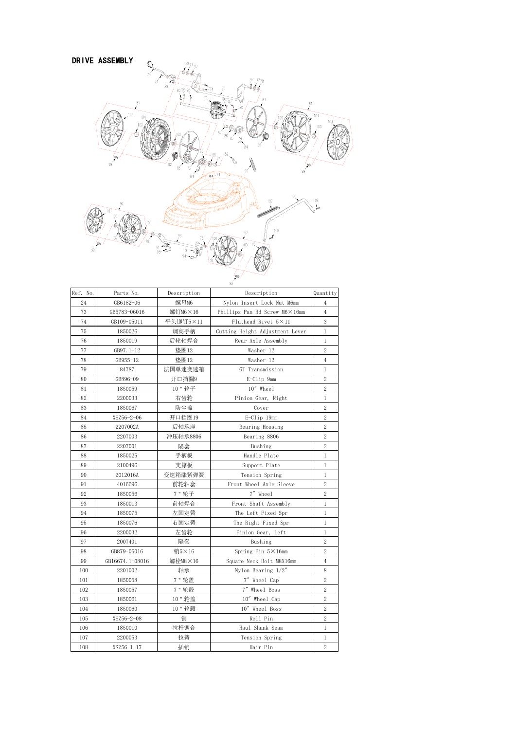

| Ref. No. | Parts No.       | Description | Description                     | Quantity       |
|----------|-----------------|-------------|---------------------------------|----------------|
| 24       | GB6182-06       | 螺母M6        | Nylon Insert Lock Nut M6mm      | $\overline{4}$ |
| 73       | GB5783-06016    | 螺钉M6×16     | Phillips Pan Hd Screw M6×16mm   | $\overline{4}$ |
| 74       | GB109-05011     | 平头铆钉5×11    | Flathead Rivet 5×11             | 3              |
| 75       | 1850026         | 调高手柄        | Cutting Height Adjustment Lever | 1              |
| 76       | 1850019         | 后轮轴焊合       | Rear Axle Assembly              | 1              |
| 77       | GB97.1-12       | 垫圈12        | Washer 12                       | 2              |
| 78       | GB955-12        | 垫圈12        | Washer 12                       | 4              |
| 79       | 84787           | 法国单速变速箱     | GT Transmission                 | 1              |
| 80       | GB896-09        | 开口挡圈9       | E-Clip 9mm                      | $\overline{2}$ |
| 81       | 1850059         | 10 " 轮子     | 10" Wheel                       | $\overline{2}$ |
| 82       | 2200033         | 右齿轮         | Pinion Gear, Right              | 1              |
| 83       | 1850067         | 防尘盖         | Cover                           | $\overline{2}$ |
| 84       | XSZ56-2-06      | 开口挡圈19      | E-Clip 19mm                     | $\overline{2}$ |
| 85       | 2207002A        | 后轴承座        | Bearing Housing                 | $\overline{2}$ |
| 86       | 2207003         | 冲压轴承8806    | Bearing 8806                    | $\overline{2}$ |
| 87       | 2207001         | 隔套          | Bushing                         | $\overline{2}$ |
| 88       | 1850025         | 手柄板         | Handle Plate                    | 1              |
| 89       | 2100496         | 支撑板         | Support Plate                   | 1              |
| 90       | 2012016A        | 变速箱涨紧弹簧     | Tension Spring                  | 1              |
| 91       | 4016696         | 前轮轴套        | Front Wheel Axle Sleeve         | $\overline{2}$ |
| 92       | 1850056         | 7 " 轮子      | 7" Wheel                        | 2              |
| 93       | 1850013         | 前轴焊合        | Front Shaft Assembly            | 1              |
| 94       | 1850075         | 左固定簧        | The Left Fixed Spr              | 1              |
| 95       | 1850076         | 右固定簧        | The Right Fixed Spr             | 1              |
| 96       | 2200032         | 左齿轮         | Pinion Gear, Left               | 1              |
| 97       | 2007401         | 隔套          | Bushing                         | 2              |
| 98       | GB879-05016     | 销5×16       | Spring Pin $5 \times 16$ mm     | 2              |
| 99       | GB16674.1-08016 | 螺栓M8×16     | Square Neck Bolt M8X16mm        | 4              |
| 100      | 2201002         | 轴承          | Nylon Bearing $1/2''$           | 8              |
| 101      | 1850058         | 7"轮盖        | 7" Wheel Cap                    | $\overline{2}$ |
| 102      | 1850057         | 7 " 轮毂      | 7" Wheel Boss                   | $\overline{2}$ |
| 103      | 1850061         | 10"轮盖       | 10" Wheel Cap                   | 2              |
| 104      | 1850060         | 10 " 轮毂     | 10" Wheel Boss                  | $\overline{2}$ |
| 105      | XSZ56-2-08      | 销           | Roll Pin                        | $\overline{2}$ |
| 106      | 1850010         | 拉杆铆合        | Haul Shank Seam                 | 1              |
| 107      | 2200053         | 拉簧          | Tension Spring                  | 1              |
| 108      | XSZ56-1-17      | 插销          | Hair Pin                        | $\sqrt{2}$     |